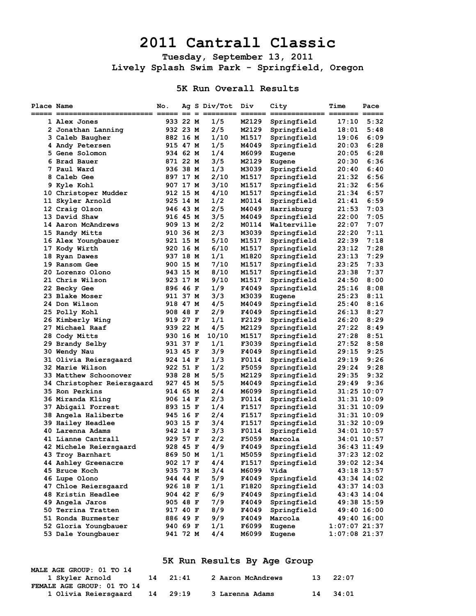## **2011 Cantrall Classic**

**Tuesday, September 13, 2011 Lively Splash Swim Park - Springfield, Oregon** 

## **5K Run Overall Results**

| Place Name |                            | No.<br>$==$ | $==$ | Ag S Div/Tot | Div          | City<br>====== = | Time            | Pace<br>===== ===== |
|------------|----------------------------|-------------|------|--------------|--------------|------------------|-----------------|---------------------|
|            | 1 Alex Jones               | 933 22 M    |      | 1/5          | M2129        | Springfield      | 17:10           | 5:32                |
|            | 2 Jonathan Lanning         | 932 23 M    |      | 2/5          | M2129        | Springfield      | 18:01           | 5:48                |
|            | 3 Caleb Baugher            | 882 16 M    |      | 1/10         | M1517        | Springfield      | 19:06           | 6:09                |
|            | 4 Andy Petersen            | 915 47 M    |      | 1/5          | M4049        | Springfield      | 20:03           | 6:28                |
|            | <b>5 Gene Solomon</b>      | 934 62 M    |      | 1/4          | M6099        | Eugene           | 20:05           | 6:28                |
|            | 6 Brad Bauer               | 871 22 M    |      | 3/5          | M2129        | Eugene           | 20:30           | 6:36                |
|            | 7 Paul Ward                | 936 38 M    |      | 1/3          | M3039        | Springfield      | 20:40           | 6:40                |
|            | 8 Caleb Gee                | 897 17 M    |      | 2/10         | M1517        | Springfield      | 21:32           | 6:56                |
|            | 9 Kyle Kohl                | 907 17 M    |      | 3/10         | M1517        | Springfield      | 21:32           | 6:56                |
|            | 10 Christoper Mudder       | 912 15 M    |      | 4/10         | M1517        | Springfield      | 21:34           | 6:57                |
|            | 11 Skyler Arnold           | 925 14 M    |      | 1/2          | M0114        | Springfield      | 21:41           | 6:59                |
|            | 12 Craig Olson             | 946 43 M    |      | 2/5          | M4049        | Harrisburg       | 21:53           | 7:03                |
|            | 13 David Shaw              | 916 45 M    |      | 3/5          | M4049        | Springfield      | 22:00           | 7:05                |
|            | 14 Aaron McAndrews         | 909 13 M    |      | 2/2          | M0114        | Walterville      | 22:07           | 7:07                |
|            | 15 Randy Mitts             | 910 36 M    |      | 2/3          | M3039        | Springfield      | 22:20           | 7:11                |
|            | 16 Alex Youngbauer         | 921 15 M    |      | 5/10         | M1517        | Springfield      | 22:39           | 7:18                |
|            | 17 Kody Wirth              | 920 16 M    |      | 6/10         | M1517        | Springfield      | 23:12           | 7:28                |
|            | 18 Ryan Dawes              | 937 18 M    |      | 1/1          | M1820        | Springfield      | 23:13           | 7:29                |
|            | 19 Ransom Gee              | 900 15 M    |      | 7/10         | M1517        | Springfield      | 23:25           | 7:33                |
|            | 20 Lorenzo Olono           | 943 15 M    |      | 8/10         | M1517        | Springfield      | 23:38           | 7:37                |
|            | 21 Chris Wilson            | 923 17 M    |      | 9/10         | M1517        | Springfield      | 24:50           | 8:00                |
|            | 22 Becky Gee               | 896 46 F    |      | 1/9          | F4049        | Springfield      | 25:16           | 8:08                |
|            | 23 Blake Moser             | 911 37 M    |      | 3/3          | M3039        | Eugene           | 25:23           | 8:11                |
|            | 24 Don Wilson              | 918 47 M    |      | 4/5          | M4049        | Springfield      | 25:40           | 8:16                |
|            | 25 Polly Kohl              | 908 48 F    |      | 2/9          | F4049        | Springfield      | 26:13           | 8:27                |
|            | 26 Kimberly Wing           | 919 27 F    |      | 1/1          | F2129        | Springfield      | 26:20           | 8:29                |
|            | 27 Michael Raaf            | 939 22 M    |      | 4/5          | M2129        | Springfield      | 27:22           | 8:49                |
|            | 28 Cody Mitts              | 930 16 M    |      | 10/10        | M1517        | Springfield      | 27:28           | 8:51                |
|            | 29 Brandy Selby            | 931 37 F    |      | 1/1          | F3039        | Springfield      | 27:52           | 8:58                |
|            | 30 Wendy Nau               | 913 45 F    |      | 3/9          | F4049        | Springfield      | 29:15           | 9:25                |
|            | 31 Olivia Reiersgaard      | 924 14 F    |      | 1/3          | <b>F0114</b> | Springfield      | 29:19           | 9:26                |
|            | 32 Marie Wilson            | 922 51 F    |      | 1/2          | F5059        | Springfield      | 29:24           | 9:28                |
|            | 33 Matthew Schoonover      | 938 28 M    |      | 5/5          | M2129        | Springfield      | 29:35           | 9:32                |
|            | 34 Christopher Reiersgaard | 927 45 M    |      | 5/5          | M4049        | Springfield      | 29:49           | 9:36                |
|            | 35 Ron Perkins             | 914 65 M    |      | 2/4          | M6099        | Springfield      |                 | 31:25 10:07         |
|            | 36 Miranda Kling           | 906 14 F    |      | 2/3          | F0114        | Springfield      |                 | 31:31 10:09         |
|            | 37 Abigail Forrest         | 893 15 F    |      | 1/4          | F1517        | Springfield      |                 | 31:31 10:09         |
|            | 38 Angela Haliberte        | 945 16 F    |      | 2/4          | F1517        | Springfield      |                 | 31:31 10:09         |
|            | 39 Hailey Headlee          | 903 15 F    |      | 3/4          | F1517        | Springfield      |                 | 31:32 10:09         |
|            | 40 Larenna Adams           | 942 14 F    |      | 3/3          | F0114        | Springfield      |                 | 34:01 10:57         |
|            | 41 Lianne Cantrall         | 929 57 F    |      | 2/2          | F5059        | Marcola          |                 | 34:01 10:57         |
|            | 42 Michele Reiersgaard     | 928 45 F    |      | 4/9          | F4049        | Springfield      |                 | 36:43 11:49         |
|            | 43 Troy Barnhart           | 869 50 M    |      | 1/1          | M5059        | Springfield      |                 | 37:23 12:02         |
|            | 44 Ashley Greenacre        | 902 17 F    |      | 4/4          | F1517        | Springfield      |                 | 39:02 12:34         |
|            | 45 Bruce Koch              | 935 73 M    |      | 3/4          | M6099        | Vida             |                 | 43:18 13:57         |
|            | 46 Lupe Olono              | 944 44 F    |      | 5/9          | F4049        | Springfield      |                 | 43:34 14:02         |
|            | 47 Chloe Reiersgaard       | 926 18 F    |      | 1/1          | F1820        | Springfield      |                 | 43:37 14:03         |
|            | 48 Kristin Headlee         | 904 42 F    |      | 6/9          | F4049        | Springfield      |                 | 43:43 14:04         |
|            | 49 Angela Jaros            | 905 48 F    |      | 7/9          | F4049        | Springfield      |                 | 49:38 15:59         |
|            | 50 Terrina Tratten         | 917 40 F    |      | 8/9          | F4049        | Springfield      |                 | 49:40 16:00         |
|            | 51 Ronda Burmester         | 886 49 F    |      | 9/9          | F4049        | Marcola          |                 | 49:40 16:00         |
|            | 52 Gloria Youngbauer       | 940 69 F    |      | 1/1          | F6099        | Eugene           | 1:07:07 21:37   |                     |
|            | 53 Dale Youngbauer         | 941 72 M    |      | 4/4          | M6099        | Eugene           | $1:07:08$ 21:37 |                     |

## **5K Run Results By Age Group**

| MALE AGE GROUP: 01 TO 14   |    |       |                   |    |       |
|----------------------------|----|-------|-------------------|----|-------|
| 1 Skyler Arnold            | 14 | 21:41 | 2 Aaron McAndrews | 13 | 22:07 |
| FEMALE AGE GROUP: 01 TO 14 |    |       |                   |    |       |
| 1 Olivia Reiersgaard 14    |    | 29:19 | 3 Larenna Adams   | 14 | 34:01 |